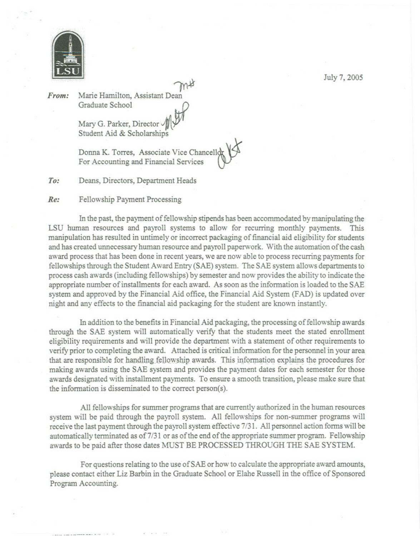

From: Marie Hamilton, Assistant Dean Graduate School

> Mary G. Parker, Director Student Aid & Scholarships

Donna K. Torres, Associate Vice Chancello For Accounting and Financial Services

 $To:$ Deans, Directors, Department Heads

Fellowship Payment Processing  $Re:$ 

In the past, the payment of fellowship stipends has been accommodated by manipulating the LSU human resources and payroll systems to allow for recurring monthly payments. This manipulation has resulted in untimely or incorrect packaging of financial aid eligibility for students and has created unnecessary human resource and payroll paperwork. With the automation of the cash award process that has been done in recent years, we are now able to process recurring payments for fellowships through the Student Award Entry (SAE) system. The SAE system allows departments to process cash awards (including fellowships) by semester and now provides the ability to indicate the appropriate number of installments for each award. As soon as the information is loaded to the SAE system and approved by the Financial Aid office, the Financial Aid System (FAD) is updated over night and any effects to the financial aid packaging for the student are known instantly.

In addition to the benefits in Financial Aid packaging, the processing of fellowship awards through the SAE system will automatically verify that the students meet the stated enrollment eligibility requirements and will provide the department with a statement of other requirements to verify prior to completing the award. Attached is critical information for the personnel in your area that are responsible for handling fellowship awards. This information explains the procedures for making awards using the SAE system and provides the payment dates for each semester for those awards designated with installment payments. To ensure a smooth transition, please make sure that the information is disseminated to the correct person(s).

All fellowships for summer programs that are currently authorized in the human resources system will be paid through the payroll system. All fellowships for non-summer programs will receive the last payment through the payroll system effective 7/31. All personnel action forms will be automatically terminated as of 7/31 or as of the end of the appropriate summer program. Fellowship awards to be paid after those dates MUST BE PROCESSED THROUGH THE SAE SYSTEM.

For questions relating to the use of SAE or how to calculate the appropriate award amounts, please contact either Liz Barbin in the Graduate School or Elahe Russell in the office of Sponsored Program Accounting.

July 7, 2005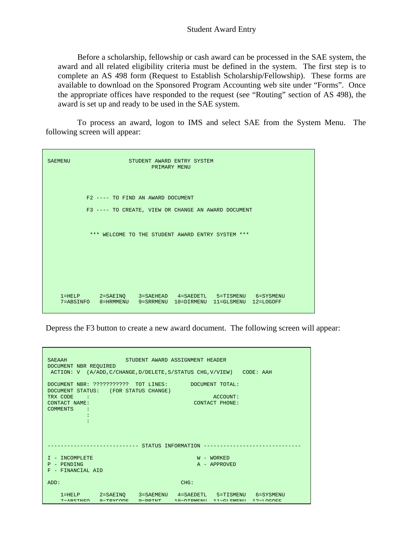## Student Award Entry

 Before a scholarship, fellowship or cash award can be processed in the SAE system, the award and all related eligibility criteria must be defined in the system. The first step is to complete an AS 498 form (Request to Establish Scholarship/Fellowship). These forms are available to download on the Sponsored Program Accounting web site under "Forms". Once the appropriate offices have responded to the request (see "Routing" section of AS 498), the award is set up and ready to be used in the SAE system.

 To process an award, logon to IMS and select SAE from the System Menu. The following screen will appear:

| <b>SAEMENU</b> | STUDENT AWARD ENTRY SYSTEM<br>PRIMARY MENU                                                                                  |
|----------------|-----------------------------------------------------------------------------------------------------------------------------|
|                | F2 ---- TO FIND AN AWARD DOCUMENT<br>F3 ---- TO CREATE, VIEW OR CHANGE AN AWARD DOCUMENT                                    |
|                | *** WELCOME TO THE STUDENT AWARD ENTRY SYSTEM ***                                                                           |
|                |                                                                                                                             |
|                | 1=HELP 2=SAEINQ 3=SAEHEAD 4=SAEDETL 5=TISMENU 6=SYSMENU<br>7=ABSINFO 8=HRMMENU 9=SRRMENU<br>10=DIRMENU 11=GLSMENU 12=LOGOFF |

Depress the F3 button to create a new award document. The following screen will appear:

| STUDENT AWARD ASSIGNMENT HEADER<br><b>SAEAAH</b><br>DOCUMENT NBR REQUIRED<br>ACTION: V (A/ADD, C/CHANGE, D/DELETE, S/STATUS CHG, V/VIEW) CODE: AAH                                              |  |
|-------------------------------------------------------------------------------------------------------------------------------------------------------------------------------------------------|--|
| DOCUMENT NBR: ??????????? TOT LINES: DOCUMENT TOTAL:<br>DOCUMENT STATUS: (FOR STATUS CHANGE)<br>TRX CODE :<br>ACCOUNT:<br><b>CONTACT NAME:</b><br>CONTACT PHONE:<br>COMMENTS :                  |  |
| --------------- STATUS INFORMATION -------------------                                                                                                                                          |  |
| I - INCOMPLETE<br>$W - WORKED$<br>P - PENDING<br>A - APPROVED<br>F - FINANCIAL AID                                                                                                              |  |
| CHG:<br>ADD:                                                                                                                                                                                    |  |
| 2=SAEINO 3=SAEMENU 4=SAEDETL 5=TISMENU 6=SYSMENU<br>$1 = HELP$<br>$7 - \lambda DCTNTD$<br>$0 - T D V C O D F$<br>$Q = DDTNTP$<br>$10 - \text{DTDMFWI}$ $11 - \text{CT CMFWI}$ $12 - \text{T O}$ |  |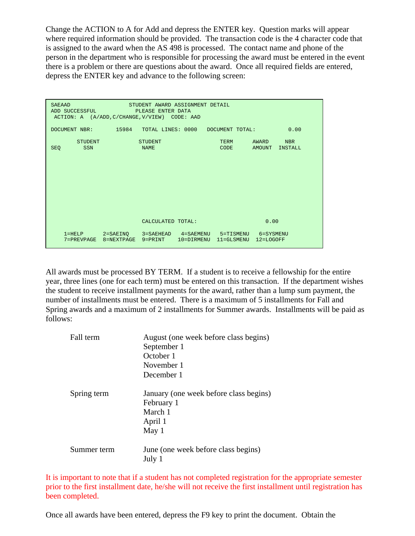Change the ACTION to A for Add and depress the ENTER key. Question marks will appear where required information should be provided. The transaction code is the 4 character code that is assigned to the award when the AS 498 is processed. The contact name and phone of the person in the department who is responsible for processing the award must be entered in the event there is a problem or there are questions about the award. Once all required fields are entered, depress the ENTER key and advance to the following screen:

|            | <b>SAEAAD</b><br>ADD SUCCESSFUL                       |                                | STUDENT AWARD ASSIGNMENT DETAIL<br>PLEASE ENTER DATA |                |                            |                                         |                              |  |
|------------|-------------------------------------------------------|--------------------------------|------------------------------------------------------|----------------|----------------------------|-----------------------------------------|------------------------------|--|
|            | ACTION: A (A/ADD, C/CHANGE, V/VIEW) CODE: AAD         |                                |                                                      |                |                            |                                         |                              |  |
|            | DOCUMENT NBR: 15984 TOTAL LINES: 0000 DOCUMENT TOTAL: |                                |                                                      |                |                            |                                         | 0.00                         |  |
| <b>SEQ</b> | <b>STUDENT</b><br>SSN                                 |                                | <b>STUDENT</b><br><b>NAME</b>                        |                | <b>TERM</b><br><b>CODE</b> | AWARD<br>AMOUNT                         | <b>NBR</b><br><b>INSTALL</b> |  |
|            |                                                       |                                |                                                      |                |                            |                                         |                              |  |
|            |                                                       |                                |                                                      |                |                            |                                         |                              |  |
|            |                                                       |                                |                                                      |                |                            |                                         |                              |  |
|            |                                                       |                                |                                                      |                |                            |                                         |                              |  |
|            |                                                       |                                | CALCULATED TOTAL:                                    |                |                            | 0.00                                    |                              |  |
|            | $1 = HELP$<br>$7 = PREVPAGE$                          | $2 = SAEINQ$<br>$8 = NEXTPAGE$ | 3=SAEHEAD 4=SAEMENU<br>$9 = PRINT$                   | $10 = DIRMENT$ | $11 = GLSMENU$             | 5=TISMENU<br>6=SYSMENU<br>$12 = LOGOFF$ |                              |  |

All awards must be processed BY TERM. If a student is to receive a fellowship for the entire year, three lines (one for each term) must be entered on this transaction. If the department wishes the student to receive installment payments for the award, rather than a lump sum payment, the number of installments must be entered. There is a maximum of 5 installments for Fall and Spring awards and a maximum of 2 installments for Summer awards. Installments will be paid as follows:

| Fall term   | August (one week before class begins)<br>September 1<br>October 1<br>November 1<br>December 1 |
|-------------|-----------------------------------------------------------------------------------------------|
| Spring term | January (one week before class begins)<br>February 1<br>March 1<br>April 1<br>May 1           |
| Summer term | June (one week before class begins)<br>July 1                                                 |

It is important to note that if a student has not completed registration for the appropriate semester prior to the first installment date, he/she will not receive the first installment until registration has been completed.

Once all awards have been entered, depress the F9 key to print the document. Obtain the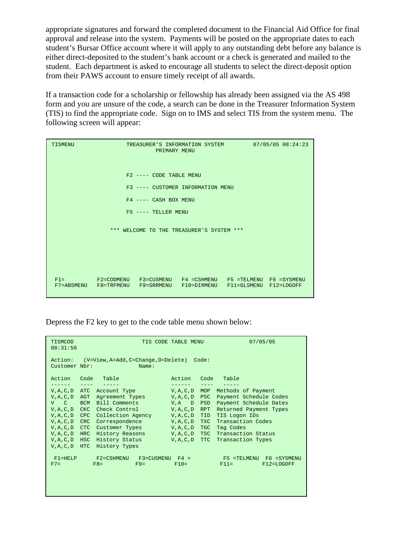appropriate signatures and forward the completed document to the Financial Aid Office for final approval and release into the system. Payments will be posted on the appropriate dates to each student's Bursar Office account where it will apply to any outstanding debt before any balance is either direct-deposited to the student's bank account or a check is generated and mailed to the student. Each department is asked to encourage all students to select the direct-deposit option from their PAWS account to ensure timely receipt of all awards.

If a transaction code for a scholarship or fellowship has already been assigned via the AS 498 form and you are unsure of the code, a search can be done in the Treasurer Information System (TIS) to find the appropriate code. Sign on to IMS and select TIS from the system menu. The following screen will appear:

| TISMENU               | 07/05/05 08:24:23                 |                         |                                                                                                                                      |  |  |  |  |
|-----------------------|-----------------------------------|-------------------------|--------------------------------------------------------------------------------------------------------------------------------------|--|--|--|--|
|                       |                                   | F2 ---- CODE TABLE MENU |                                                                                                                                      |  |  |  |  |
|                       | F3 ---- CUSTOMER INFORMATION MENU |                         |                                                                                                                                      |  |  |  |  |
|                       |                                   | $F4$ ---- CASH BOX MENU |                                                                                                                                      |  |  |  |  |
| $F5$ ---- TELLER MENU |                                   |                         |                                                                                                                                      |  |  |  |  |
|                       |                                   |                         | *** WELCOME TO THE TREASURER'S SYSTEM ***                                                                                            |  |  |  |  |
|                       |                                   |                         | F1= F2=CODMENU F3=CUSMENU F4 =CSHMENU F5 =TELMENU F6 =SYSMENU<br>F7=ABSMENU F8=TRFMENU F9=SRRMENU F10=DIRMENU F11=GLSMENU F12=LOGOFF |  |  |  |  |

Depress the F2 key to get to the code table menu shown below:

| 07/05/05<br>TISMCOD<br>TIS CODE TABLE MENU<br>08:31:56                                                                                                                                                                                                                                                                                                                                                                                                                                                                                                                                                                                                                                                                                                                                                                                                                                    |                                     |            |            |                           |  |  |  |
|-------------------------------------------------------------------------------------------------------------------------------------------------------------------------------------------------------------------------------------------------------------------------------------------------------------------------------------------------------------------------------------------------------------------------------------------------------------------------------------------------------------------------------------------------------------------------------------------------------------------------------------------------------------------------------------------------------------------------------------------------------------------------------------------------------------------------------------------------------------------------------------------|-------------------------------------|------------|------------|---------------------------|--|--|--|
| (V=View, A=Add, C=Change, D=Delete)<br>Action:<br>Code:<br>Customer Nbr:<br>Name:                                                                                                                                                                                                                                                                                                                                                                                                                                                                                                                                                                                                                                                                                                                                                                                                         |                                     |            |            |                           |  |  |  |
| Action<br>Table<br>Code<br>Table<br>Code<br>Action<br>$\frac{1}{2} \frac{1}{2} \frac{1}{2} \frac{1}{2} \frac{1}{2} \frac{1}{2} \frac{1}{2} \frac{1}{2} \frac{1}{2} \frac{1}{2} \frac{1}{2} \frac{1}{2} \frac{1}{2} \frac{1}{2} \frac{1}{2} \frac{1}{2} \frac{1}{2} \frac{1}{2} \frac{1}{2} \frac{1}{2} \frac{1}{2} \frac{1}{2} \frac{1}{2} \frac{1}{2} \frac{1}{2} \frac{1}{2} \frac{1}{2} \frac{1}{2} \frac{1}{2} \frac{1}{2} \frac{1}{2} \frac{$<br>-------<br>$\frac{1}{2} \frac{1}{2} \frac{1}{2} \frac{1}{2} \frac{1}{2} \frac{1}{2} \frac{1}{2} \frac{1}{2} \frac{1}{2} \frac{1}{2} \frac{1}{2} \frac{1}{2} \frac{1}{2} \frac{1}{2} \frac{1}{2} \frac{1}{2} \frac{1}{2} \frac{1}{2} \frac{1}{2} \frac{1}{2} \frac{1}{2} \frac{1}{2} \frac{1}{2} \frac{1}{2} \frac{1}{2} \frac{1}{2} \frac{1}{2} \frac{1}{2} \frac{1}{2} \frac{1}{2} \frac{1}{2} \frac{$<br>$\frac{1}{2}$<br>------- |                                     |            |            |                           |  |  |  |
| ATC<br>V, A, C, D                                                                                                                                                                                                                                                                                                                                                                                                                                                                                                                                                                                                                                                                                                                                                                                                                                                                         | Account Type                        | V, A, C, D | MOP        | Methods of Payment        |  |  |  |
| AGT<br>V, A, C, D                                                                                                                                                                                                                                                                                                                                                                                                                                                                                                                                                                                                                                                                                                                                                                                                                                                                         | Agreement Types                     | V, A, C, D | PSC        | Payment Schedule Codes    |  |  |  |
| <b>BCM</b><br>$V$ $C$                                                                                                                                                                                                                                                                                                                                                                                                                                                                                                                                                                                                                                                                                                                                                                                                                                                                     | Bill Comments                       | $V.A$ D    | PSD        | Payment Schedule Dates    |  |  |  |
| <b>CKC</b><br>V, A, C, D                                                                                                                                                                                                                                                                                                                                                                                                                                                                                                                                                                                                                                                                                                                                                                                                                                                                  | Check Control                       | V, A, C, D | RPT        | Returned Payment Types    |  |  |  |
| <b>CPC</b><br>V, A, C, D                                                                                                                                                                                                                                                                                                                                                                                                                                                                                                                                                                                                                                                                                                                                                                                                                                                                  | Collection Agency                   | V, A, C, D | <b>TID</b> | TIS Logon IDs             |  |  |  |
| <b>CRC</b><br>V, A, C, D                                                                                                                                                                                                                                                                                                                                                                                                                                                                                                                                                                                                                                                                                                                                                                                                                                                                  | Correspondence                      | V, A, C, D | <b>TXC</b> | Transaction Codes         |  |  |  |
| <b>CTC</b><br>V, A, C, D                                                                                                                                                                                                                                                                                                                                                                                                                                                                                                                                                                                                                                                                                                                                                                                                                                                                  | Customer Types                      | V, A, C, D | TGC        | Tag Codes                 |  |  |  |
| $V, A, C, D$ HRC                                                                                                                                                                                                                                                                                                                                                                                                                                                                                                                                                                                                                                                                                                                                                                                                                                                                          | History Reasons V, A, C, D          |            | <b>TSC</b> | Transaction Status        |  |  |  |
| $V, A, C, D$ HSC                                                                                                                                                                                                                                                                                                                                                                                                                                                                                                                                                                                                                                                                                                                                                                                                                                                                          | History Status                      | V, A, C, D | <b>TTC</b> | Transaction Types         |  |  |  |
| $V, A, C, D$ HTC                                                                                                                                                                                                                                                                                                                                                                                                                                                                                                                                                                                                                                                                                                                                                                                                                                                                          | History Types                       |            |            |                           |  |  |  |
| $F1 = HELP$                                                                                                                                                                                                                                                                                                                                                                                                                                                                                                                                                                                                                                                                                                                                                                                                                                                                               | F2=CSHMENU<br>$F3 = CUSMENT$ $F4 =$ |            |            | F5 =TELMENU F6 =SYSMENU   |  |  |  |
| $F7=$                                                                                                                                                                                                                                                                                                                                                                                                                                                                                                                                                                                                                                                                                                                                                                                                                                                                                     | $F8=$<br>$F9=$                      | $F10=$     |            | $F11 =$<br>$F12 = LOGOFF$ |  |  |  |
|                                                                                                                                                                                                                                                                                                                                                                                                                                                                                                                                                                                                                                                                                                                                                                                                                                                                                           |                                     |            |            |                           |  |  |  |
|                                                                                                                                                                                                                                                                                                                                                                                                                                                                                                                                                                                                                                                                                                                                                                                                                                                                                           |                                     |            |            |                           |  |  |  |
|                                                                                                                                                                                                                                                                                                                                                                                                                                                                                                                                                                                                                                                                                                                                                                                                                                                                                           |                                     |            |            |                           |  |  |  |
|                                                                                                                                                                                                                                                                                                                                                                                                                                                                                                                                                                                                                                                                                                                                                                                                                                                                                           |                                     |            |            |                           |  |  |  |